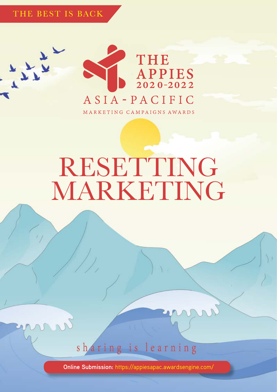THE BEST IS BACK



# RESETTING MARKETING

sharing is learning

**Online Submission:** <https://appiesapac.awardsengine.com/>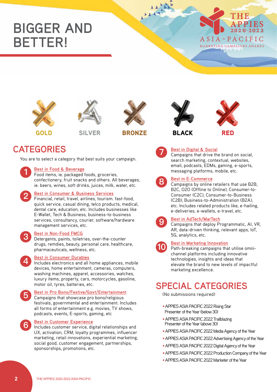## **BIGGER AND BETTER!**









GOLD SILVER BRONZE BLACK RED





### **CATEGORIES Best in Digital & Social**

You are to select a category that best suits your campaign.

#### **Best in Food & Beverage**

Food items, ie. packaged foods, groceries, confectionery, fruit snacks and others. All beverages, ie. beers, wines, soft drinks, juices, milk, water, etc.



**1**

#### **Best in Consumer & Business Services**

Financial, retail, travel, airlines, tourism. fast-food, quick service, casual dining, telco products, medical, dental care, education, etc. Includes businesses like E-Wallet, Tech & Business, business-to-business services, consultancy, courier, software/hardware management services, etc.

#### **Best in Non-Food FMCG**

Detergents, paints, toiletries, over-the-counter drugs, remdies, beauty, personal care, healthcare, pharmaceuticals, wellness, etc.



**3**

**5**

**6**

#### **Best in Consumer Durables**

Includes electronics and all home appliances, mobile devices, home entertainment, cameras, computers, washing machines, apparel, accessories, watches, luxury items, property, cars, motorcycles, gasoline, motor oil, tyres, batteries, etc.

#### **Best in Pro Bono/Festive/Govt/Entertainment**

Campaigns that showcase pro bono/religious festivals, governmental and entertainment. Includes all forms of entertainment e.g. movies, TV shows, podcasts, events, E-sports, gaming, etc

#### **Best in Customer Experience**

Includes customer service, digital relationships and UX, activation, CRM, loyalty programmes, influencer marketing, retail innovations, experiential marketing, social good, customer engagement, partnerships, sponsorships, promotions, etc.



**8**

Campaigns that drive the brand on social, search marketing, contextual, websites, email, podcasts, EDMs, gaming, e-sports, messaging platforms, mobile, etc.

#### **Best in E-Commerce**

Campaigns by online retailers that use B2B, B2C, O2O (Offline to Online), Consumer-to-Consumer (C2C), Consumer-to-Business (C2B), Business-to-Administration (B2A), etc. Includes related products like, e-hailing, e-deliveries, e-wallets, e-travel, etc.



**10**

#### **Best in AdTech/MarTech**

Campaigns that deploy Programmatic, AI, VR, AR, data-driven thinking, relevant apps, IoT, 5G, analytics, etc.

#### **Best in Marketing Innovation**

Path-breaking campaigns that utilise omnichannel platforms including innovative technologies, insights and ideas that elevate the brand to new levels of impactful marketing excellence.

### **SPECIAL CATEGORIES**

(No submissions required)

- •APPIES ASIA PACIFIC 2022 Rising Star Presenter of the Year (below 30)
- •APPIES ASIA PACIFIC 2022 Trailblazing Presenter of the Year (above 30)
- •APPIES ASIA PACIFIC 2022 Media Agency of the Year
- •APPIES ASIA PACIFIC 2022 Advertising Agency of the Year
- •APPIES ASIA PACIFIC 2022 Digital Agency of the Year
- •APPIES ASIA PACIFIC 2022 Production Company of the Year
- •APPIES ASIA PACIFIC 2022 Marketer of the Year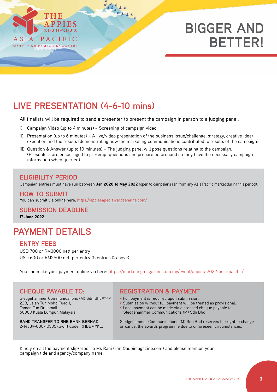

## **BIGGER AND BETTER!**

### **LIVE PRESENTATION (4-6-10 mins)**

All finalists will be required to send a presenter to present the campaign in person to a judging panel.

- i) Campaign Video (up to 4 minutes) Screening of campaign video
- ii) Presentation (up to 6 minutes) A live/video presentation of the business issue/challenge, strategy, creative idea/ execution and the results (demonstrating how the marketing communications contributed to results of the campaign)
- iii) Question & Answer (up to 10 minutes) The judging panel will pose questions relating to the campaign. (Presenters are encouraged to pre-empt questions and prepare beforehand so they have the necessary campaign information when queried)

#### **ELIGIBILITY PERIOD**

Campaign entries must have run between Jan 2020 to May 2022 (open to campaigns ran from any Asia Pacific market during this period).

#### You can submit via online here: <https://appiesapac.awardsengine.com/> **HOW TO SUBMIT**

#### **SUBMISSION DEADLINE**

17 June 2022

### **PAYMENT DETAILS**

#### **ENTRY FEES**

USD 700 or RM3000 nett per entry USD 600 or RM2500 nett per entry (5 entries & above)

You can make your payment online via here: https://marketingmagazine.com.my/event/appies-2022-asia-pacific/

Sledgehammer Communications (M) Sdn Bhd<sup>289967-W</sup> 22B, Jalan Tun Mohd Fuad 1, Taman Tun Dr. Ismail 60000 Kuala Lumpur, Malaysia

**BANK TRANSFER TO RHB BANK BERHAD** 2-14389-000-10505 (Swift Code: RHBBMYKL)

#### **CHEQUE PAYABLE TO: REGISTRATION & PAYMENT**

- Full payment is required upon submission.
- Submission without full payment will be treated as provisional.
- Local payment can be made via a crossed cheque payable to Sledgehammer Communications (M) Sdn Bhd

Sledgehammer Communications (M) Sdn Bhd reserves the right to change or cancel the awards programme due to unforeseen circumstances.

Kindly email the payment slip/proof to Ms Rani ([rani@adoimagazine.com](mailto:rani@adoimagazine.com)) and please mention your campaign title and agency/company name.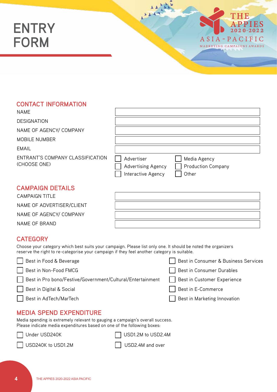## **ENTRY FORM**



#### **CONTACT INFORMATION**

| <b>NAME</b>                                      |                                                               |                                                    |
|--------------------------------------------------|---------------------------------------------------------------|----------------------------------------------------|
| <b>DESIGNATION</b>                               |                                                               |                                                    |
| NAME OF AGENCY/ COMPANY                          |                                                               |                                                    |
| MOBILE NUMBER                                    |                                                               |                                                    |
| <b>EMAIL</b>                                     |                                                               |                                                    |
| ENTRANT'S COMPANY CLASSIFICATION<br>(CHOOSE ONE) | Advertiser<br><b>Advertising Agency</b><br>Interactive Agency | Media Agency<br><b>Production Company</b><br>Other |

#### **CAMPAIGN DETAILS**

| CAMPAIGN TITI F           |  |
|---------------------------|--|
| NAME OF ADVERTISER/CLIENT |  |
| NAME OF AGENCY/ COMPANY   |  |
| NAME OF BRAND             |  |

#### **CATEGORY**

Choose your category which best suits your campaign. Please list only one. It should be noted the organizers reserve the right to re-categorise your campaign if they feel another category is suitable.

| Best in Food & Beverage                                    | Best in Consumer & Business Services |
|------------------------------------------------------------|--------------------------------------|
| Best in Non-Food FMCG                                      | Best in Consumer Durables            |
| Best in Pro bono/Festive/Government/Cultural/Entertainment | Best in Customer Experience          |
| Best in Digital & Social                                   | Best in E-Commerce                   |
| Best in AdTech/MarTech<br>$\mathbf{1}$                     | Best in Marketing Innovation         |
| COEND EVOENDITUDE<br><b>ILENIA</b>                         |                                      |

#### **MEDIA SPEND EXPENDITURE**

Media spending is extremely relevant to gauging a campaign's overall success. Please indicate media expenditures based on one of the following boxes:

Under USD240K <br>
USD1.2M to USD2.4M



USD240K to USD1.2M USD2.4M and over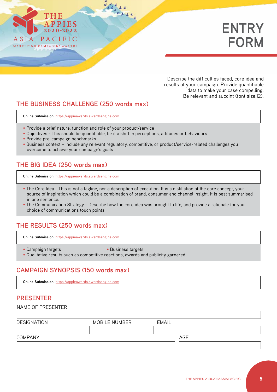

Describe the difficulties faced, core idea and results of your campaign. Provide quantifiable data to make your case compelling. Be relevant and succint (font size:12).

#### **THE BUSINESS CHALLENGE (250 words max)**

**Online Submission:** <https://appieawards.awardsengine.com>

- Provide a brief nature, function and role of your product/service
- Objectives This should be quantifiable, be it a shift in perceptions, attitudes or behaviours

- Provide pre-campaign benchmarks
- Business context Include any relevant regulatory, competitive, or product/service-related challenges you overcame to achieve your campaign's goals

#### **THE BIG IDEA (250 words max)**

**Online Submission:** <https://appieawards.awardsengine.com>

- The Core Idea This is not a tagline, nor a description of execution. It is a distillation of the core concept, your source of inspiration which could be a combination of brand, consumer and channel insight. It is best summarised in one sentence.
- The Communication Strategy Describe how the core idea was brought to life, and provide a rationale for your choice of communications touch points.

#### **THE RESULTS (250 words max)**

**Online Submission:** <https://appieawards.awardsengine.com>

- Campaign targets Business targets
- 
- Qualitative results such as competitive reactions, awards and publicity garnered

#### **CAMPAIGN SYNOPSIS (150 words max)**

**Online Submission:** <https://appieawards.awardsengine.com>

#### **PRESENTER**

| NAME OF PRESENTER  |               |              |  |
|--------------------|---------------|--------------|--|
|                    |               |              |  |
| <b>DESIGNATION</b> | MOBILE NUMBER | <b>EMAIL</b> |  |
|                    |               |              |  |
| <b>COMPANY</b>     |               | AGE          |  |
|                    |               |              |  |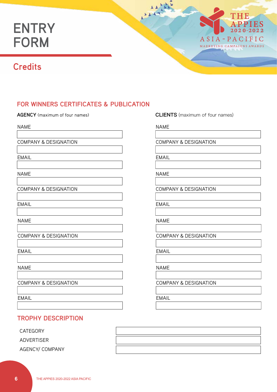## **ENTRY FORM**



### **Credits**

#### **FOR WINNERS CERTIFICATES & PUBLICATION**

NAME

COMPANY & DESIGNATION

EMAIL

NAME

COMPANY & DESIGNATION

EMAIL

NAME

COMPANY & DESIGNATION

EMAIL

NAME

COMPANY & DESIGNATION

EMAIL

#### **TROPHY DESCRIPTION**

CATEGORY

ADVERTISER

AGENCY/ COMPANY

**AGENCY** (maximum of four names) **CLIENTS** (maximum of four names)

NAME

COMPANY & DESIGNATION

EMAIL

NAME

COMPANY & DESIGNATION

EMAIL

NAME

COMPANY & DESIGNATION

EMAIL

NAME

COMPANY & DESIGNATION

EMAIL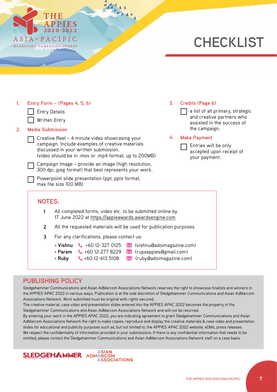

## **CHECKLIST**

| 1 <sub>1</sub><br>2.                                                                                                   | <b>Entry Details</b><br><b>Media Submission</b>                                                                                                                                           | Entry Form $-$ (Pages 4, 5, 6)<br><b>Written Entry</b> |                                                                                                                                                                                                                                                             |  | 3 <sub>1</sub> | Credits (Page 6)<br>a list of all primary, strategic<br>and creative partners who<br>assisted in the success of<br>the campaign. |  |  |
|------------------------------------------------------------------------------------------------------------------------|-------------------------------------------------------------------------------------------------------------------------------------------------------------------------------------------|--------------------------------------------------------|-------------------------------------------------------------------------------------------------------------------------------------------------------------------------------------------------------------------------------------------------------------|--|----------------|----------------------------------------------------------------------------------------------------------------------------------|--|--|
|                                                                                                                        |                                                                                                                                                                                           |                                                        | Creative Reel - 4 minute video showcasing your<br>campaign. Include examples of creative materials<br>discussed in your written submission.<br>(video should be in .mov or .mp4 format, up to 200MB)<br>Campaign Image - provide an image (high resolution, |  | 4.             | <b>Make Payment</b><br>Entries will be only<br>accepted upon receipt of<br>your payment.                                         |  |  |
|                                                                                                                        | 300 dpi, jpeg format) that best represents your work.<br>Powerpoint slide presentation (ppt, pptx format,<br>max file size 100 MB)<br><b>NOTES:</b>                                       |                                                        |                                                                                                                                                                                                                                                             |  |                |                                                                                                                                  |  |  |
| All completed forms, video etc. to be submitted online by<br>1<br>17 June 2022 at https://appieawards.awardsengine.com |                                                                                                                                                                                           |                                                        |                                                                                                                                                                                                                                                             |  |                |                                                                                                                                  |  |  |
|                                                                                                                        | All the requested materials will be used for publication purposes.<br>$\overline{2}$                                                                                                      |                                                        |                                                                                                                                                                                                                                                             |  |                |                                                                                                                                  |  |  |
|                                                                                                                        | 3<br>For any clarifications, please contact us:                                                                                                                                           |                                                        |                                                                                                                                                                                                                                                             |  |                |                                                                                                                                  |  |  |
|                                                                                                                        | • Vishnu $\frac{1}{2}$ +60 12-327 0125<br>vishnu@adoimagazine.com)<br>• Param $\leftarrow$ +60 12-277 8229<br>< (ruby@adoimagazine.com)<br>$\leftarrow$ +60 12-613 5108<br>$\bullet$ Ruby |                                                        |                                                                                                                                                                                                                                                             |  |                |                                                                                                                                  |  |  |
|                                                                                                                        | <b>PUBLISHING POLICY</b>                                                                                                                                                                  |                                                        |                                                                                                                                                                                                                                                             |  |                |                                                                                                                                  |  |  |

 $7 + 14$ 

Sledgehammer Communications and Asian AdMarcom Associations Network reserves the right to showcase finalists and winners in the APPIES APAC 2022 in various ways. Publication is at the sole discretion of Sledgehammer Communications and Asian AdMarcom Associations Network. Work submitted must be original with rights secured.

The creative material, case video and presentation slides entered into the APPIES APAC 2022 becomes the property of the Sledgehammer Communications and Asian AdMarcom Associations Network and will not be returned.

By entering your work in the APPIES APAC 2022, you are indicating agreement to grant Sledgehammer Communications and Asian AdMarcom Associations Network the right to make copies, reproduce and display the creative materials & case video and presentation slides for educational and publicity purposes such as, but not limited to, the APPIES APAC 2022 website, eDMs, press releases. We respect the confidentiality of information provided in your submissions. If there is any confidential information that needs to be omitted, please contact the Sledgehammer Communications and Asian AdMarcom Associations Network staff on a case basis.